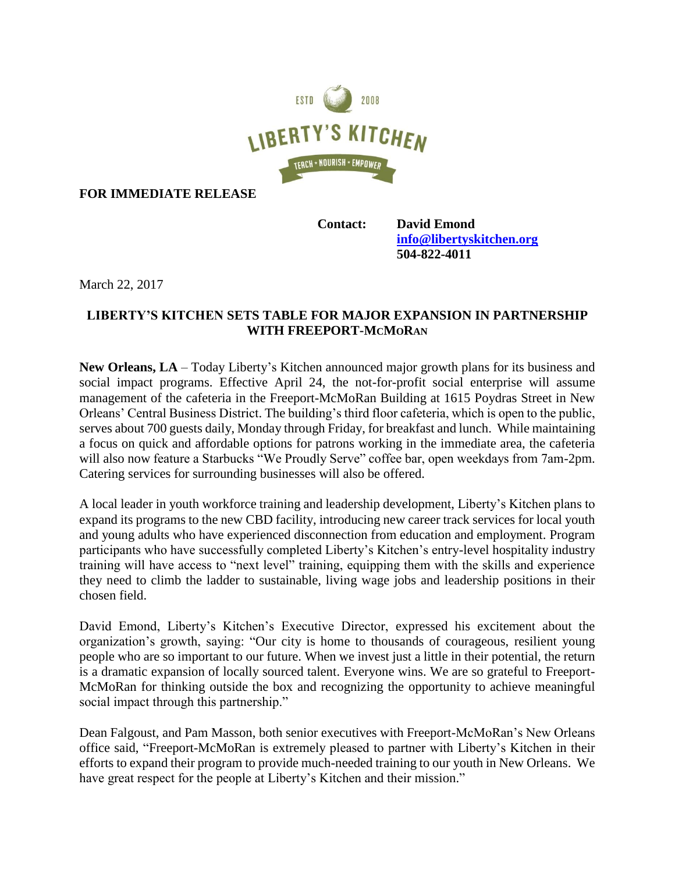

**FOR IMMEDIATE RELEASE**

**Contact: David Emond [info@libertyskitchen.org](mailto:info@libertyskitchen.org) 504-822-4011**

March 22, 2017

## **LIBERTY'S KITCHEN SETS TABLE FOR MAJOR EXPANSION IN PARTNERSHIP WITH FREEPORT-MCMORAN**

**New Orleans, LA** – Today Liberty's Kitchen announced major growth plans for its business and social impact programs. Effective April 24, the not-for-profit social enterprise will assume management of the cafeteria in the Freeport-McMoRan Building at 1615 Poydras Street in New Orleans' Central Business District. The building's third floor cafeteria, which is open to the public, serves about 700 guests daily, Monday through Friday, for breakfast and lunch. While maintaining a focus on quick and affordable options for patrons working in the immediate area, the cafeteria will also now feature a Starbucks "We Proudly Serve" coffee bar, open weekdays from 7am-2pm. Catering services for surrounding businesses will also be offered.

A local leader in youth workforce training and leadership development, Liberty's Kitchen plans to expand its programs to the new CBD facility, introducing new career track services for local youth and young adults who have experienced disconnection from education and employment. Program participants who have successfully completed Liberty's Kitchen's entry-level hospitality industry training will have access to "next level" training, equipping them with the skills and experience they need to climb the ladder to sustainable, living wage jobs and leadership positions in their chosen field.

David Emond, Liberty's Kitchen's Executive Director, expressed his excitement about the organization's growth, saying: "Our city is home to thousands of courageous, resilient young people who are so important to our future. When we invest just a little in their potential, the return is a dramatic expansion of locally sourced talent. Everyone wins. We are so grateful to Freeport-McMoRan for thinking outside the box and recognizing the opportunity to achieve meaningful social impact through this partnership."

Dean Falgoust, and Pam Masson, both senior executives with Freeport-McMoRan's New Orleans office said, "Freeport-McMoRan is extremely pleased to partner with Liberty's Kitchen in their efforts to expand their program to provide much-needed training to our youth in New Orleans. We have great respect for the people at Liberty's Kitchen and their mission."